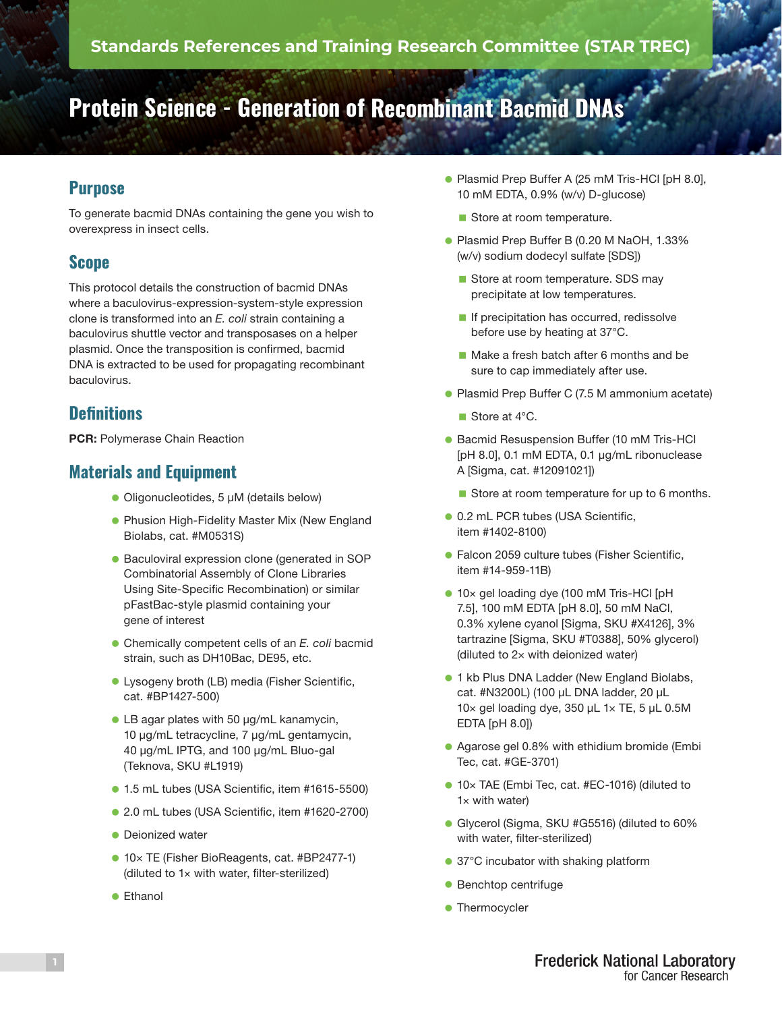# **Protein Science - Generation of Recombinant Bacmid DNAs**

# **Purpose**

To generate bacmid DNAs containing the gene you wish to overexpress in insect cells.

## **Scope**

This protocol details the construction of bacmid DNAs where a baculovirus-expression-system-style expression clone is transformed into an *E. coli* strain containing a baculovirus shuttle vector and transposases on a helper plasmid. Once the transposition is confirmed, bacmid DNA is extracted to be used for propagating recombinant baculovirus.

### **Definitions**

PCR: Polymerase Chain Reaction

### **Materials and Equipment**

- Oligonucleotides, 5 µM (details below)
- **Phusion High-Fidelity Master Mix (New England** Biolabs, cat. #M0531S)
- Baculoviral expression clone (generated in SOP Combinatorial Assembly of Clone Libraries Using Site-Specific Recombination) or similar pFastBac-style plasmid containing your gene of interest
- **Chemically competent cells of an** *E. coli* **bacmid** strain, such as DH10Bac, DE95, etc.
- **Lysogeny broth (LB) media (Fisher Scientific,** cat. #BP1427-500)
- LB agar plates with 50 µg/mL kanamycin, 10 µg/mL tetracycline, 7 µg/mL gentamycin, 40 µg/mL IPTG, and 100 µg/mL Bluo-gal (Teknova, SKU #L1919)
- 1.5 mL tubes (USA Scientific, item #1615-5500)
- 2.0 mL tubes (USA Scientific, item #1620-2700)
- **Dejonized water**
- 10× TE (Fisher BioReagents, cat. #BP2477-1) (diluted to 1× with water, filter-sterilized)
- **•** Ethanol
- **Plasmid Prep Buffer A (25 mM Tris-HCI [pH 8.0],** 10 mM EDTA, 0.9% (w/v) D-glucose)
	- Store at room temperature.
- **Plasmid Prep Buffer B (0.20 M NaOH, 1.33%** (w/v) sodium dodecyl sulfate [SDS])
	- Store at room temperature. SDS may precipitate at low temperatures.
	- $\blacksquare$  If precipitation has occurred, redissolve before use by heating at 37°C.
	- Make a fresh batch after 6 months and be sure to cap immediately after use.
- **Plasmid Prep Buffer C (7.5 M ammonium acetate)** 
	- Store at 4°C.
- **Bacmid Resuspension Buffer (10 mM Tris-HCl** [pH 8.0], 0.1 mM EDTA, 0.1 μg/mL ribonuclease A [Sigma, cat. #12091021])
	- Store at room temperature for up to 6 months.
- 0.2 mL PCR tubes (USA Scientific, item #1402-8100)
- **Falcon 2059 culture tubes (Fisher Scientific,** item #14-959-11B)
- 10× gel loading dye (100 mM Tris-HCl [pH 7.5], 100 mM EDTA [pH 8.0], 50 mM NaCl, 0.3% xylene cyanol [Sigma, SKU #X4126], 3% tartrazine [Sigma, SKU #T0388], 50% glycerol) (diluted to 2× with deionized water)
- **1** kb Plus DNA Ladder (New England Biolabs, cat. #N3200L) (100 µL DNA ladder, 20 µL 10× gel loading dye, 350 µL 1× TE, 5 µL 0.5M EDTA [pH 8.0])
- **Agarose gel 0.8% with ethidium bromide (Embi** Tec, cat. #GE-3701)
- 10× TAE (Embi Tec, cat. #EC-1016) (diluted to  $1\times$  with water)
- **Glycerol (Sigma, SKU #G5516) (diluted to 60%** with water, filter-sterilized)
- 37°C incubator with shaking platform
- $\bullet$  Benchtop centrifuge
- Thermocycler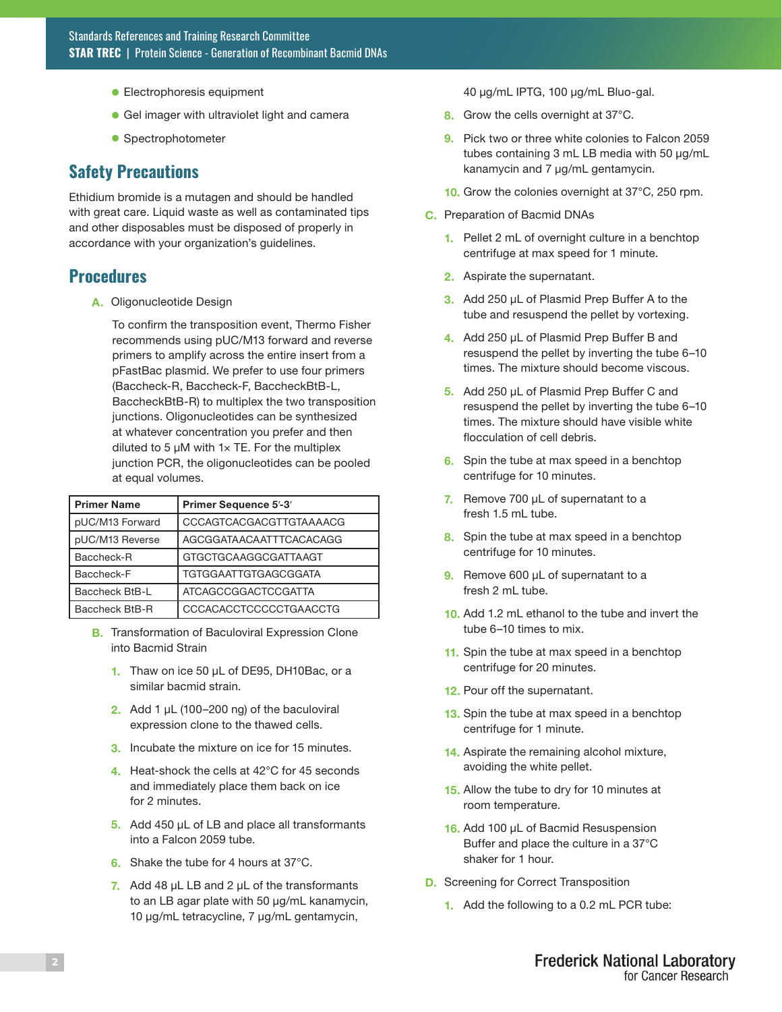- **Electrophoresis equipment**
- **Gel imager with ultraviolet light and camera**
- **Spectrophotometer**

#### **Safety Precautions**

Ethidium bromide is a mutagen and should be handled with great care. Liquid waste as well as contaminated tips and other disposables must be disposed of properly in accordance with your organization's guidelines.

#### **Procedures**

A. Oligonucleotide Design

To confirm the transposition event, Thermo Fisher recommends using pUC/M13 forward and reverse primers to amplify across the entire insert from a pFastBac plasmid. We prefer to use four primers (Baccheck-R, Baccheck-F, BaccheckBtB-L, BaccheckBtB-R) to multiplex the two transposition junctions. Oligonucleotides can be synthesized at whatever concentration you prefer and then diluted to 5  $\mu$ M with 1 $\times$  TE. For the multiplex junction PCR, the oligonucleotides can be pooled at equal volumes.

| <b>Primer Name</b>    | Primer Sequence 5'-3'       |
|-----------------------|-----------------------------|
| pUC/M13 Forward       | CCCAGTCACGACGTTGTAAAACG     |
| pUC/M13 Reverse       | AGCGGATAACAATTTCACACAGG     |
| <b>Baccheck-R</b>     | <b>GTGCTGCAAGGCGATTAAGT</b> |
| Baccheck-F            | <b>TGTGGAATTGTGAGCGGATA</b> |
| <b>Baccheck BtB-L</b> | <b>ATCAGCCGGACTCCGATTA</b>  |
| Baccheck BtB-R        | CCCACACCTCCCCCTGAACCTG      |

- **B.** Transformation of Baculoviral Expression Clone into Bacmid Strain
	- 1. Thaw on ice 50 µL of DE95, DH10Bac, or a similar bacmid strain.
	- 2. Add 1  $\mu$ L (100–200 ng) of the baculoviral expression clone to the thawed cells.
	- 3. Incubate the mixture on ice for 15 minutes.
	- 4. Heat-shock the cells at 42°C for 45 seconds and immediately place them back on ice for 2 minutes.
	- 5. Add 450 µL of LB and place all transformants into a Falcon 2059 tube.
	- 6. Shake the tube for 4 hours at 37°C.
	- 7. Add 48  $\mu$ L LB and 2  $\mu$ L of the transformants to an LB agar plate with 50 µg/mL kanamycin, 10 µg/mL tetracycline, 7 µg/mL gentamycin,

40 µg/mL IPTG, 100 µg/mL Bluo-gal.

- 8. Grow the cells overnight at 37°C.
- 9. Pick two or three white colonies to Falcon 2059 tubes containing 3 mL LB media with 50 µg/mL kanamycin and 7 µg/mL gentamycin.
- 10. Grow the colonies overnight at 37°C, 250 rpm.
- C. Preparation of Bacmid DNAs
	- 1. Pellet 2 mL of overnight culture in a benchtop centrifuge at max speed for 1 minute.
	- 2. Aspirate the supernatant.
	- 3. Add 250 µL of Plasmid Prep Buffer A to the tube and resuspend the pellet by vortexing.
	- 4. Add 250 µL of Plasmid Prep Buffer B and resuspend the pellet by inverting the tube 6–10 times. The mixture should become viscous.
	- 5. Add 250 µL of Plasmid Prep Buffer C and resuspend the pellet by inverting the tube 6–10 times. The mixture should have visible white flocculation of cell debris.
	- 6. Spin the tube at max speed in a benchtop centrifuge for 10 minutes.
	- 7. Remove 700 µL of supernatant to a fresh 1.5 mL tube.
	- 8. Spin the tube at max speed in a benchtop centrifuge for 10 minutes.
	- 9. Remove 600 µL of supernatant to a fresh 2 mL tube.
	- 10. Add 1.2 mL ethanol to the tube and invert the tube 6–10 times to mix.
	- 11. Spin the tube at max speed in a benchtop centrifuge for 20 minutes.
	- 12. Pour off the supernatant.
	- 13. Spin the tube at max speed in a benchtop centrifuge for 1 minute.
	- 14. Aspirate the remaining alcohol mixture, avoiding the white pellet.
	- 15. Allow the tube to dry for 10 minutes at room temperature.
	- 16. Add 100 µL of Bacmid Resuspension Buffer and place the culture in a 37°C shaker for 1 hour.
- D. Screening for Correct Transposition
	- 1. Add the following to a 0.2 mL PCR tube: